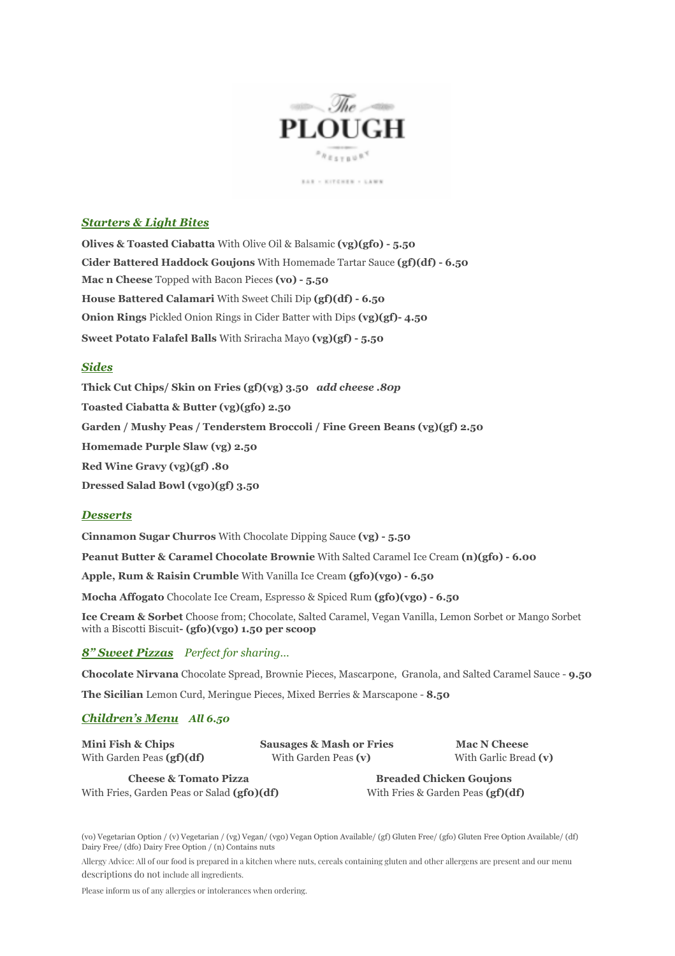

 $\mathbb{E} \triangle \mathbb{E} \ \times \ \mathbb{E} \cap \mathbb{E} \triangle \mathbb{E} \mathbb{E} \times \ \times \ \mathbb{E} \triangle \mathbb{W} \mathbb{E}$ 

# *Starters & Light Bites*

**Olives & Toasted Ciabatta** With Olive Oil & Balsamic **(vg)(gfo) - 5.50 Cider Battered Haddock Goujons** With Homemade Tartar Sauce **(gf)(df) - 6.50 Mac n Cheese** Topped with Bacon Pieces **(vo) - 5.50 House Battered Calamari** With Sweet Chili Dip **(gf)(df) - 6.50 Onion Rings** Pickled Onion Rings in Cider Batter with Dips **(vg)(gf)- 4.50 Sweet Potato Falafel Balls** With Sriracha Mayo **(vg)(gf) - 5.50**

## *Sides*

**Thick Cut Chips/ Skin on Fries (gf)(vg) 3.50** *add cheese .80p* **Toasted Ciabatta & Butter (vg)(gfo) 2.50 Garden / Mushy Peas / Tenderstem Broccoli / Fine Green Beans (vg)(gf) 2.50 Homemade Purple Slaw (vg) 2.50 Red Wine Gravy (vg)(gf) .80 Dressed Salad Bowl (vgo)(gf) 3.50**

### *Desserts*

**Cinnamon Sugar Churros** With Chocolate Dipping Sauce **(vg) - 5.50**

**Peanut Butter & Caramel Chocolate Brownie** With Salted Caramel Ice Cream **(n)(gfo) - 6.00**

**Apple, Rum & Raisin Crumble** With Vanilla Ice Cream **(gfo)(vgo) - 6.50**

**Mocha Affogato** Chocolate Ice Cream, Espresso & Spiced Rum **(gfo)(vgo) - 6.50**

**Ice Cream & Sorbet** Choose from; Chocolate, Salted Caramel, Vegan Vanilla, Lemon Sorbet or Mango Sorbet with a Biscotti Biscuit**- (gfo)(vgo) 1.50 per scoop**

*8" Sweet Pizzas Perfect for sharing…*

**Chocolate Nirvana** Chocolate Spread, Brownie Pieces, Mascarpone, Granola, and Salted Caramel Sauce - **9.50**

**The Sicilian** Lemon Curd, Meringue Pieces, Mixed Berries & Marscapone - **8.50**

### *Children's Menu All 6.50*

| Mini Fish & Chips                          | <b>Sausages &amp; Mash or Fries</b> | <b>Mac N Cheese</b>                 |  |
|--------------------------------------------|-------------------------------------|-------------------------------------|--|
| With Garden Peas $(gf)(df)$                | With Garden Peas (v)                | With Garlic Bread (v)               |  |
| <b>Cheese &amp; Tomato Pizza</b>           |                                     | <b>Breaded Chicken Goujons</b>      |  |
| With Fries, Garden Peas or Salad (gfo)(df) |                                     | With Fries & Garden Peas $(gf)(df)$ |  |

(vo) Vegetarian Option / (v) Vegetarian / (vg) Vegan/ (vg0) Vegan Option Available/ (gf) Gluten Free/ (gfo) Gluten Free Option Available/ (df) Dairy Free/ (dfo) Dairy Free Option / (n) Contains nuts

Allergy Advice: All of our food is prepared in a kitchen where nuts, cereals containing gluten and other allergens are present and our menu descriptions do not include all ingredients.

Please inform us of any allergies or intolerances when ordering.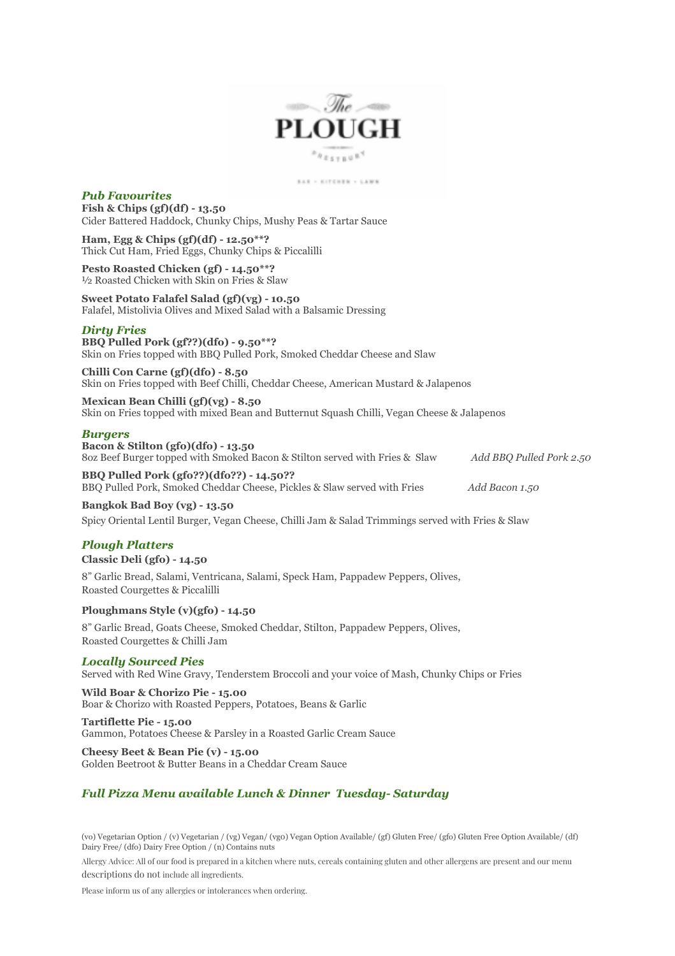

 $\mathbb{R}\triangle\mathbb{R}\ \times\ \mathbb{K}\cap\mathbb{P}\subseteq\mathbb{R}\oplus\mathbb{R}\ \times\ \cdots\ \mathbb{L}\triangle\mathbb{W}\ \mathbb{N}$ 

## *Pub Favourites*

**Fish & Chips (gf)(df) - 13.50** Cider Battered Haddock, Chunky Chips, Mushy Peas & Tartar Sauce

**Ham, Egg & Chips (gf)(df) - 12.50\*\*?** Thick Cut Ham, Fried Eggs, Chunky Chips & Piccalilli

**Pesto Roasted Chicken (gf) - 14.50\*\*?** ½ Roasted Chicken with Skin on Fries & Slaw

**Sweet Potato Falafel Salad (gf)(vg) - 10.50** Falafel, Mistolivia Olives and Mixed Salad with a Balsamic Dressing

### *Dirty Fries*

**BBQ Pulled Pork (gf??)(dfo) - 9.50\*\*?** Skin on Fries topped with BBQ Pulled Pork, Smoked Cheddar Cheese and Slaw

**Chilli Con Carne (gf)(dfo) - 8.50** Skin on Fries topped with Beef Chilli, Cheddar Cheese, American Mustard & Jalapenos

**Mexican Bean Chilli (gf)(vg) - 8.50** Skin on Fries topped with mixed Bean and Butternut Squash Chilli, Vegan Cheese & Jalapenos

### *Burgers*

**Bacon & Stilton (gfo)(dfo) - 13.50** 8oz Beef Burger topped with Smoked Bacon & Stilton served with Fries & Slaw *Add BBQ Pulled Pork 2.50*

**BBQ Pulled Pork (gfo??)(dfo??) - 14.50??** BBQ Pulled Pork, Smoked Cheddar Cheese, Pickles & Slaw served with Fries *Add Bacon 1.50*

**Bangkok Bad Boy (vg) - 13.50** Spicy Oriental Lentil Burger, Vegan Cheese, Chilli Jam & Salad Trimmings served with Fries & Slaw

## *Plough Platters*

**Classic Deli (gfo) - 14.50**

8" Garlic Bread, Salami, Ventricana, Salami, Speck Ham, Pappadew Peppers, Olives, Roasted Courgettes & Piccalilli

#### **Ploughmans Style (v)(gfo) - 14.50**

8" Garlic Bread, Goats Cheese, Smoked Cheddar, Stilton, Pappadew Peppers, Olives, Roasted Courgettes & Chilli Jam

### *Locally Sourced Pies*

Served with Red Wine Gravy, Tenderstem Broccoli and your voice of Mash, Chunky Chips or Fries

**Wild Boar & Chorizo Pie - 15.00** Boar & Chorizo with Roasted Peppers, Potatoes, Beans & Garlic

#### **Tartiflette Pie - 15.00**

Gammon, Potatoes Cheese & Parsley in a Roasted Garlic Cream Sauce

**Cheesy Beet & Bean Pie (v) - 15.00** Golden Beetroot & Butter Beans in a Cheddar Cream Sauce

## *Full Pizza Menu available Lunch & Dinner Tuesday- Saturday*

(vo) Vegetarian Option / (v) Vegetarian / (vg) Vegan/ (vg0) Vegan Option Available/ (gf) Gluten Free/ (gfo) Gluten Free Option Available/ (df) Dairy Free/ (dfo) Dairy Free Option / (n) Contains nuts

Allergy Advice: All of our food is prepared in a kitchen where nuts, cereals containing gluten and other allergens are present and our menu descriptions do not include all ingredients.

Please inform us of any allergies or intolerances when ordering.